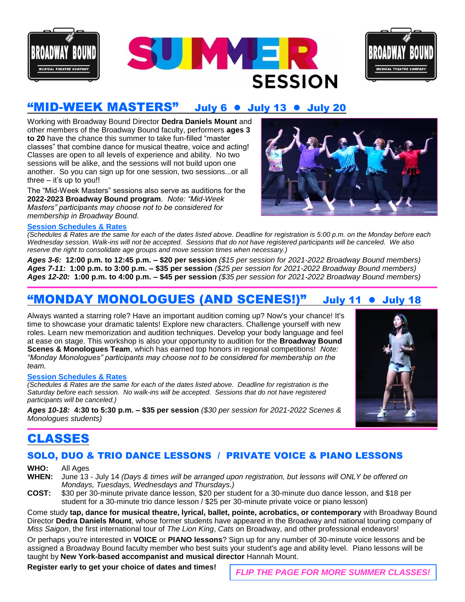



# "MID-WEEK MASTERS" July 6 . July 13 . July 20

Working with Broadway Bound Director **Dedra Daniels Mount** and other members of the Broadway Bound faculty, performers **ages 3 to 20** have the chance this summer to take fun-filled "master classes" that combine dance for musical theatre, voice and acting! Classes are open to all levels of experience and ability. No two sessions will be alike, and the sessions will not build upon one another. So you can sign up for one session, two sessions...or all three  $-$  it's up to you!!

The "Mid-Week Masters" sessions also serve as auditions for the **2022-2023 Broadway Bound program**. *Note: "Mid-Week Masters" participants may choose not to be considered for membership in Broadway Bound.*



#### **Session Schedules & Rates**

*(Schedules & Rates are the same for each of the dates listed above. Deadline for registration is 5:00 p.m. on the Monday before each Wednesday session. Walk-ins will not be accepted. Sessions that do not have registered participants will be canceled. We also reserve the right to consolidate age groups and move session times when necessary.)*

*Ages 3-6:* **12:00 p.m. to 12:45 p.m. – \$20 per session** *(\$15 per session for 2021-2022 Broadway Bound members) Ages 7-11:* **1:00 p.m. to 3:00 p.m. – \$35 per session** *(\$25 per session for 2021-2022 Broadway Bound members) Ages 12-20:* **1:00 p.m. to 4:00 p.m. – \$45 per session** *(\$35 per session for 2021-2022 Broadway Bound members)*

## "MONDAY MONOLOGUES (AND SCENES!)" July 11 . July 18

Always wanted a starring role? Have an important audition coming up? Now's your chance! It's time to showcase your dramatic talents! Explore new characters. Challenge yourself with new roles. Learn new memorization and audition techniques. Develop your body language and feel at ease on stage. This workshop is also your opportunity to audition for the **Broadway Bound Scenes & Monologues Team**, which has earned top honors in regional competitions! *Note: "Monday Monologues" participants may choose not to be considered for membership on the team.*

#### **Session Schedules & Rates**

*(Schedules & Rates are the same for each of the dates listed above. Deadline for registration is the Saturday before each session. No walk-ins will be accepted. Sessions that do not have registered participants will be canceled.)*

*Ages 10-18:* **4:30 to 5:30 p.m. – \$35 per session** *(\$30 per session for 2021-2022 Scenes & Monologues students)*



## CLASSES

### SOLO, DUO & TRIO DANCE LESSONS / PRIVATE VOICE & PIANO LESSONS

**WHO:** All Ages

- June 13 July 14 *(Days & times will be arranged upon registration, but lessons will ONLY be offered on Mondays, Tuesdays, Wednesdays and Thursdays.)*
- **COST:** \$30 per 30-minute private dance lesson, \$20 per student for a 30-minute duo dance lesson, and \$18 per student for a 30-minute trio dance lesson / \$25 per 30-minute private voice or piano lesson)

Come study **tap, dance for musical theatre, lyrical, ballet, pointe, acrobatics, or contemporary** with Broadway Bound Director **Dedra Daniels Mount**, whose former students have appeared in the Broadway and national touring company of *Miss Saigon*, the first international tour of *The Lion King*, *Cats* on Broadway, and other professional endeavors!

Or perhaps you're interested in **VOICE** or **PIANO lessons**? Sign up for any number of 30-minute voice lessons and be assigned a Broadway Bound faculty member who best suits your student's age and ability level. Piano lessons will be taught by **New York-based accompanist and musical director** Hannah Mount.

**Register early to get your choice of dates and times!** *FLIP THE PAGE FOR MORE SUMMER CLASSES!*